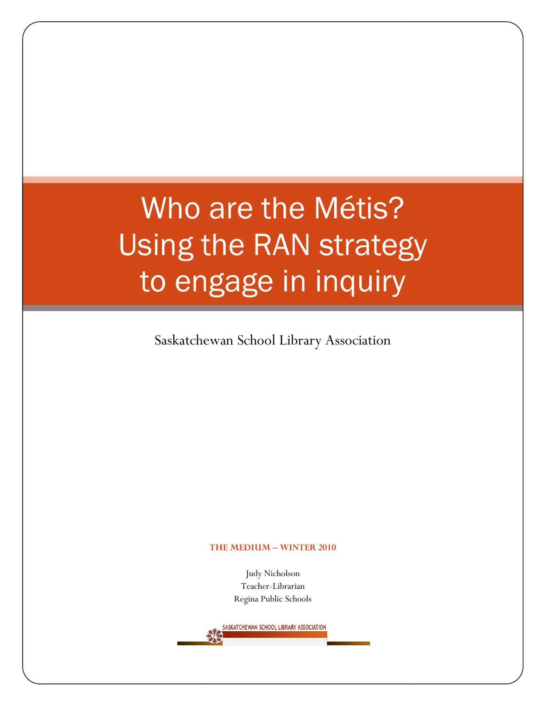# Who are the Métis? Using the RAN strategy to engage in inquiry

Saskatchewan School Library Association

#### THE MEDIUM – WINTER 2010

Judy Nicholson Teacher-Librarian Regina Public Schools

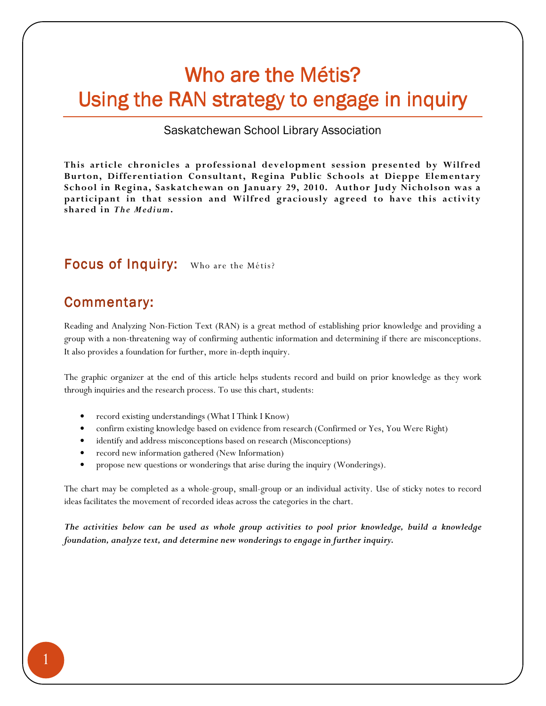## Who are the Métis? Using the RAN strategy to engage in inquiry

#### Saskatchewan School Library Association

This article chronicles a professional development session presented by Wilfred Burton, Differentiation Consultant, Regina Public Schools at Dieppe Elementary School in Regina, Saskatchewan on January 29, 2010. Author Judy Nicholson was a participant in that session and Wilfred graciously agreed to have this activity shared in The Medium.

## Focus of Inquiry: Who are the Métis?

### Commentary:

Reading and Analyzing Non-Fiction Text (RAN) is a great method of establishing prior knowledge and providing a group with a non-threatening way of confirming authentic information and determining if there are misconceptions. It also provides a foundation for further, more in-depth inquiry.

The graphic organizer at the end of this article helps students record and build on prior knowledge as they work through inquiries and the research process. To use this chart, students:

- record existing understandings (What I Think I Know)
- confirm existing knowledge based on evidence from research (Confirmed or Yes, You Were Right)
- identify and address misconceptions based on research (Misconceptions)
- record new information gathered (New Information)
- propose new questions or wonderings that arise during the inquiry (Wonderings).

The chart may be completed as a whole-group, small-group or an individual activity. Use of sticky notes to record ideas facilitates the movement of recorded ideas across the categories in the chart.

The activities below can be used as whole group activities to pool prior knowledge, build a knowledge foundation, analyze text, and determine new wonderings to engage in further inquiry.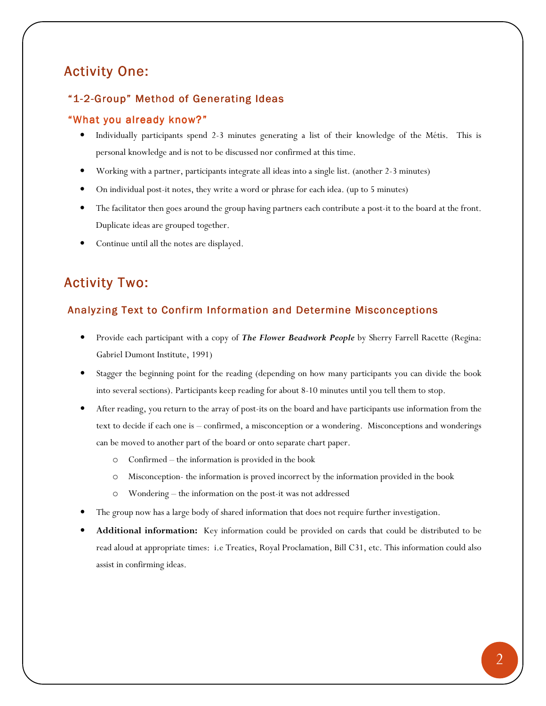## Activity One:

#### "1-2-Group" Method of Generating Ideas

#### "What you already know?"

- Individually participants spend 2-3 minutes generating a list of their knowledge of the Métis. This is personal knowledge and is not to be discussed nor confirmed at this time.
- Working with a partner, participants integrate all ideas into a single list. (another 2-3 minutes)
- On individual post-it notes, they write a word or phrase for each idea. (up to 5 minutes)
- The facilitator then goes around the group having partners each contribute a post-it to the board at the front. Duplicate ideas are grouped together.
- Continue until all the notes are displayed.

## Activity Two:

#### Analyzing Text to Confirm Information and Determine Misconceptions

- Provide each participant with a copy of The Flower Beadwork People by Sherry Farrell Racette (Regina: Gabriel Dumont Institute, 1991)
- Stagger the beginning point for the reading (depending on how many participants you can divide the book into several sections). Participants keep reading for about 8-10 minutes until you tell them to stop.
- After reading, you return to the array of post-its on the board and have participants use information from the text to decide if each one is – confirmed, a misconception or a wondering. Misconceptions and wonderings can be moved to another part of the board or onto separate chart paper.
	- o Confirmed the information is provided in the book
	- o Misconception- the information is proved incorrect by the information provided in the book
	- o Wondering the information on the post-it was not addressed
- The group now has a large body of shared information that does not require further investigation.
- Additional information: Key information could be provided on cards that could be distributed to be read aloud at appropriate times: i.e Treaties, Royal Proclamation, Bill C31, etc. This information could also assist in confirming ideas.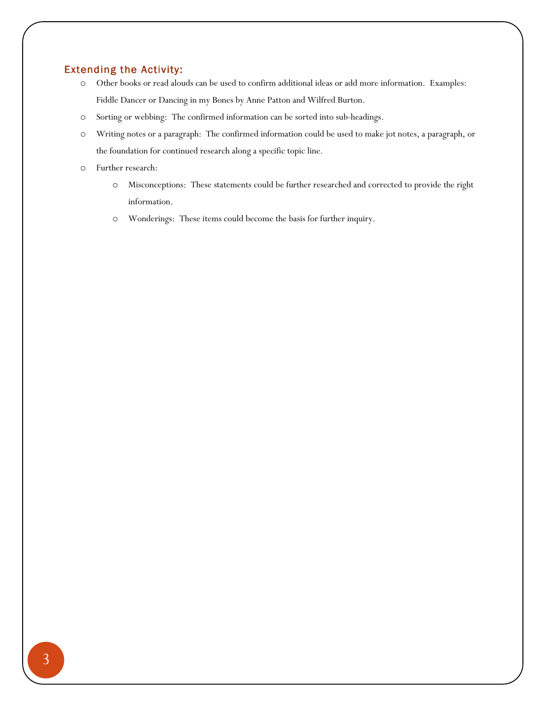#### Extending the Activity:

- o Other books or read alouds can be used to confirm additional ideas or add more information. Examples: Fiddle Dancer or Dancing in my Bones by Anne Patton and Wilfred Burton.
- o Sorting or webbing: The confirmed information can be sorted into sub-headings.
- o Writing notes or a paragraph: The confirmed information could be used to make jot notes, a paragraph, or the foundation for continued research along a specific topic line.
- o Further research:
	- o Misconceptions: These statements could be further researched and corrected to provide the right information.
	- o Wonderings: These items could become the basis for further inquiry.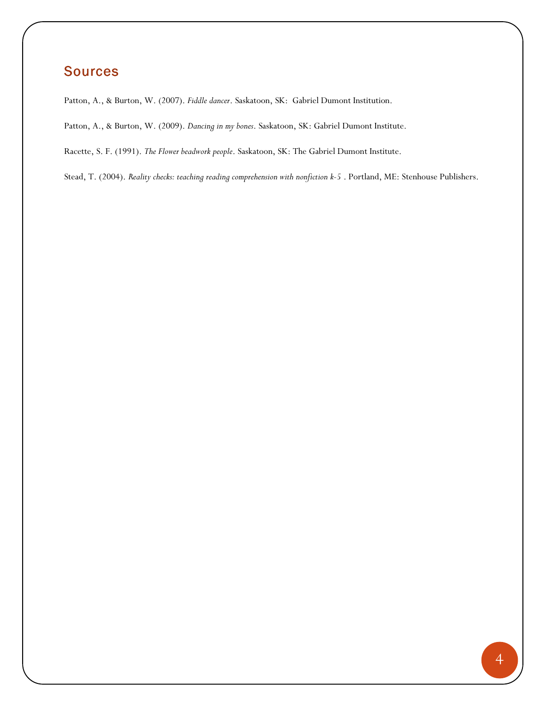## Sources

Patton, A., & Burton, W. (2007). Fiddle dancer. Saskatoon, SK: Gabriel Dumont Institution.

Patton, A., & Burton, W. (2009). Dancing in my bones. Saskatoon, SK: Gabriel Dumont Institute.

Racette, S. F. (1991). The Flower beadwork people. Saskatoon, SK: The Gabriel Dumont Institute.

Stead, T. (2004). Reality checks: teaching reading comprehension with nonfiction k-5 . Portland, ME: Stenhouse Publishers.